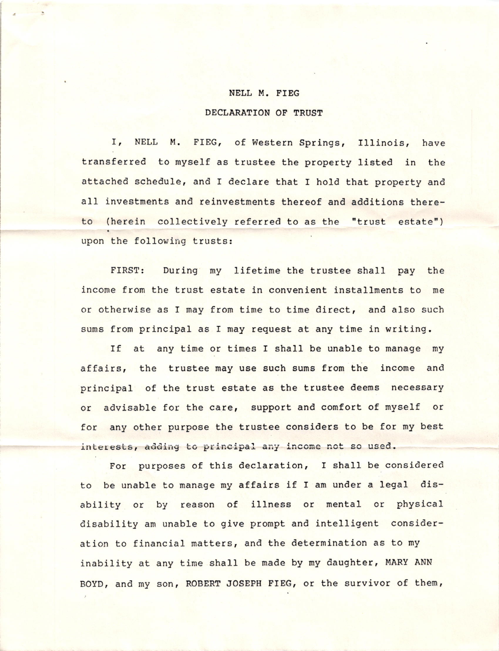## NELL M. FIEG

## DECLARATION OF TRUST

I, NELL M. FIEG, of Western Springs, Illinois, have transferred to myself as trustee the property listed in the attached schedule, and I declare that I hold that property and all investments and reinvestments thereof and additions thereto (herein collectively referred to as the "trust estate") upon the following trusts:

FIRST: During my lifetime the trustee shall pay the income from the trust estate in convenient installments to me or otherwise as I may from time to time direct, and also such sums from principal as I may request at any time in writing.

If at any time or times I shall be unable to manage my affairs, the trustee may use such sums from the income and principal of the trust estate as the trustee deems necessary or advisable for the care, support and comfort of myself or for any other purpose the trustee considers to be for my best interests, adding to principal any income not so used.

For purposes of this declaration, I shall be considered to be unable to manage my affairs if I am under a legal disability or by reason of illness or mental or physical disability am unable to give prompt and intelligent consideration to financial matters, and the determination as to my inability at any time shall be made by my daughter, MARY ANN BOYD, and my son, ROBERT JOSEPH FIEG, or the survivor of them,